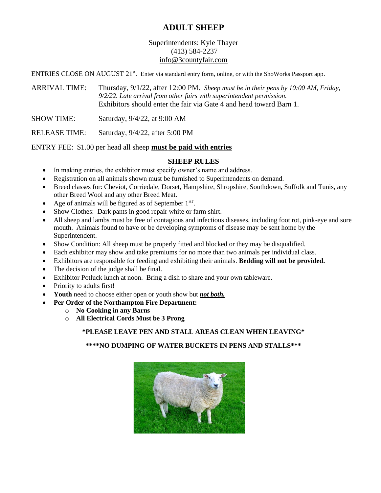# **ADULT SHEEP**

# Superintendents: Kyle Thayer (413) 584-2237 info@3countyfair.com

ENTRIES CLOSE ON AUGUST 21<sup>st</sup>. Enter via standard entry form, online, or with the ShoWorks Passport app.

ARRIVAL TIME: Thursday, 9/1/22, after 12:00 PM. *Sheep must be in their pens by 10:00 AM, Friday, 9/2/22. Late arrival from other fairs with superintendent permission.* Exhibitors should enter the fair via Gate 4 and head toward Barn 1.

SHOW TIME: Saturday, 9/4/22, at 9:00 AM

RELEASE TIME: Saturday, 9/4/22, after 5:00 PM

## ENTRY FEE: \$1.00 per head all sheep **must be paid with entries**

## **SHEEP RULES**

- In making entries, the exhibitor must specify owner's name and address.
- Registration on all animals shown must be furnished to Superintendents on demand.
- Breed classes for: Cheviot, Corriedale, Dorset, Hampshire, Shropshire, Southdown, Suffolk and Tunis, any other Breed Wool and any other Breed Meat.
- Age of animals will be figured as of September  $1<sup>ST</sup>$ .
- Show Clothes: Dark pants in good repair white or farm shirt.
- All sheep and lambs must be free of contagious and infectious diseases, including foot rot, pink-eye and sore mouth. Animals found to have or be developing symptoms of disease may be sent home by the Superintendent.
- Show Condition: All sheep must be properly fitted and blocked or they may be disqualified.
- Each exhibitor may show and take premiums for no more than two animals per individual class.
- Exhibitors are responsible for feeding and exhibiting their animals. **Bedding will not be provided.**
- The decision of the judge shall be final.
- Exhibitor Potluck lunch at noon. Bring a dish to share and your own tableware.
- Priority to adults first!
- **Youth** need to choose either open or youth show but *not both.*
- **Per Order of the Northampton Fire Department:**
	- o **No Cooking in any Barns**
	- o **All Electrical Cords Must be 3 Prong**

# **\*PLEASE LEAVE PEN AND STALL AREAS CLEAN WHEN LEAVING\***

# **\*\*\*\*NO DUMPING OF WATER BUCKETS IN PENS AND STALLS\*\*\***